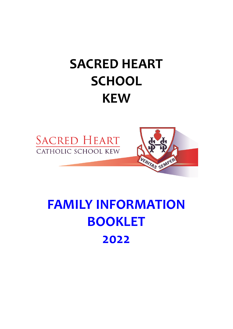# **SACRED HEART SCHOOL KEW**





# **FAMILY INFORMATION BOOKLET 2022**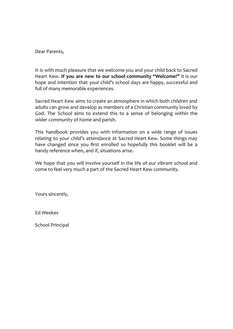Dear Parents,

It is with much pleasure that we welcome you and your child back to Sacred Heart Kew. **If you are new to our school community "Welcome!"** It is our hope and intention that your child's school days are happy, successful and full of many memorable experiences.

Sacred Heart Kew aims to create an atmosphere in which both children and adults can grow and develop as members of a Christian community loved by God. The School aims to extend this to a sense of belonging within the wider community of home and parish.

This handbook provides you with information on a wide range of issues relating to your child's attendance at Sacred Heart Kew. Some things may have changed since you first enrolled so hopefully this booklet will be a handy reference when, and if, situations arise.

We hope that you will involve yourself in the life of our vibrant school and come to feel very much a part of the Sacred Heart Kew community.

Yours sincerely,

Ed Weekes

School Principal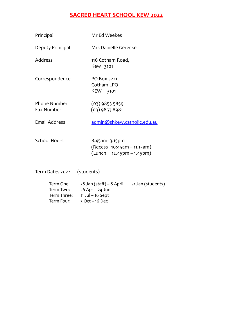### **SACRED HEART SCHOOL KEW 2022**

| Principal                                | Mr Ed Weekes                                                              |
|------------------------------------------|---------------------------------------------------------------------------|
| Deputy Principal                         | Mrs Danielle Gerecke                                                      |
| Address                                  | 116 Cotham Road,<br>Kew 3101                                              |
| Correspondence                           | PO Box 3221<br>Cotham LPO<br>KEW 3101                                     |
| <b>Phone Number</b><br><b>Fax Number</b> | $(03)$ 9853 5859<br>(03) 9853 8981                                        |
| <b>Email Address</b>                     | admin@shkew.catholic.edu.au                                               |
| <b>School Hours</b>                      | 8.45am-3.15pm<br>(Recess 10:45am - 11.15am)<br>$(Lunch 12.45pm - 1.45pm)$ |

#### Term Dates 2022 - (students)

| Term One:   | 28 Jan (staff) – 8 April | 31 Jan (students) |
|-------------|--------------------------|-------------------|
| Term Two:   | 26 Apr – 24 Jun          |                   |
| Term Three: | 11 Jul – 16 Sept         |                   |
| Term Four:  | $3$ Oct – 16 Dec         |                   |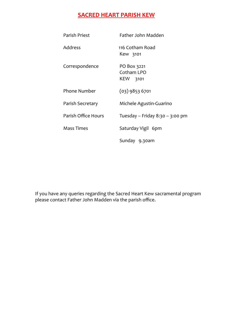### **SACRED HEART PARISH KEW**

| Parish Priest       | Father John Madden                    |
|---------------------|---------------------------------------|
| <b>Address</b>      | 116 Cotham Road<br>Kew 3101           |
| Correspondence      | PO Box 3221<br>Cotham LPO<br>KEW 3101 |
| <b>Phone Number</b> | $(03)$ 9853 6701                      |
| Parish Secretary    | Michele Agustin-Guarino               |
| Parish Office Hours | Tuesday – Friday 8:30 – 3:00 pm       |
| Mass Times          | Saturday Vigil 6pm                    |
|                     | Sunday 9.30am                         |

If you have any queries regarding the Sacred Heart Kew sacramental program please contact Father John Madden via the parish office.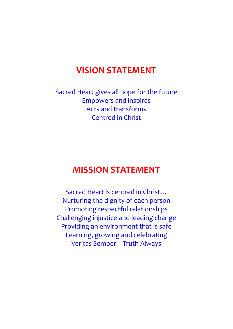## **VISION STATEMENT**

Sacred Heart gives all hope for the future Empowers and inspires Acts and transforms Centred in Christ

## **MISSION STATEMENT**

Sacred Heart is centred in Christ… Nurturing the dignity of each person Promoting respectful relationships Challenging injustice and leading change Providing an environment that is safe Learning, growing and celebrating Veritas Semper – Truth Always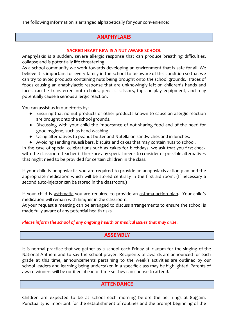The following information is arranged alphabetically for your convenience:

#### **ANAPHYLAXIS**

#### **SACRED HEART KEW IS A NUT AWARE SCHOOL**

Anaphylaxis is a sudden, severe allergic response that can produce breathing difficulties, collapse and is potentially life threatening.

As a school community we work towards developing an environment that is safe for all. We believe it is important for every family in the school to be aware of this condition so that we can try to avoid products containing nuts being brought onto the school grounds. Traces of foods causing an anaphylactic response that are unknowingly left on children's hands and faces can be transferred onto chairs, pencils, scissors, taps or play equipment, and may potentially cause a serious allergic reaction.

You can assist us in our efforts by:

- Ensuring that no nut products or other products known to cause an allergic reaction are brought onto the school grounds.
- Discussing with your child the importance of not sharing food and of the need for good hygiene, such as hand washing.
- Using alternatives to peanut butter and Nutella on sandwiches and in lunches.
- Avoiding sending muesli bars, biscuits and cakes that may contain nuts to school.

In the case of special celebrations such as cakes for birthdays, we ask that you first check with the classroom teacher if there are any special needs to consider or possible alternatives that might need to be provided for certain children in the class.

If your child is anaphylactic you are required to provide an anaphylaxis action plan and the appropriate medication which will be stored centrally in the first aid room. (If necessary a second auto-injector can be stored in the classroom.)

If your child is asthmatic you are required to provide an asthma action plan. Your child's medication will remain with him/her in the classroom.

At your request a meeting can be arranged to discuss arrangements to ensure the school is made fully aware of any potential health risks.

#### *Please inform the school of any ongoing health or medical issues that may arise.*

#### **ASSEMBLY**

It is normal practice that we gather as a school each Friday at 2:30pm for the singing of the National Anthem and to say the school prayer. Recipients of awards are announced for each grade at this time, announcements pertaining to the week's activities are outlined by our school leaders and learning being undertaken in a specific class may be highlighted. Parents of award winners will be notified ahead of time so they can choose to attend.

#### **ATTENDANCE**

Children are expected to be at school each morning before the bell rings at 8.45am. Punctuality is important for the establishment of routines and the prompt beginning of the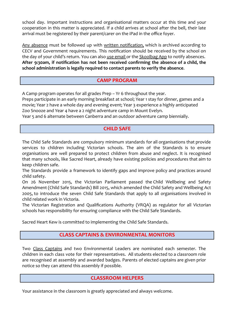school day. Important instructions and organisational matters occur at this time and your cooperation in this matter is appreciated. If a child arrives at school after the bell, their late arrival must be registered by their parent/carer on the iPad in the office foyer.

Any absence must be followed up with written notification, which is archived according to CECV and Government requirements. This notification should be received by the school on the day of your child's return. You can also use email or the Skoolbag App to notify absences. **After 9:30am, if notification has not been received confirming the absence of a child, the school administration is legally required to contact parents to verify the absence**.

#### **CAMP PROGRAM**

A Camp program operates for all grades Prep – Yr 6 throughout the year.

Preps participate in an early morning breakfast at school; Year 1 stay for dinner, games and a movie; Year 2 have a whole day and evening event; Year 3 experience a highly anticipated Zoo Snooze and Year 4 have a 2 night adventure camp in Mount Evelyn.

Year 5 and 6 alternate between Canberra and an outdoor adventure camp biennially.

#### **CHILD SAFE**

The Child Safe Standards are compulsory minimum standards for all organisations that provide services to children including Victorian schools. The aim of the Standards is to ensure organisations are well prepared to protect children from abuse and neglect. It is recognised that many schools, like Sacred Heart, already have existing policies and procedures that aim to keep children safe.

The Standards provide a framework to identify gaps and improve policy and practices around child safety.

On 26 November 2015, the Victorian Parliament passed the Child Wellbeing and Safety Amendment (Child Safe Standards) Bill 2015, which amended the Child Safety and Wellbeing Act 2005, to introduce the seven Child Safe Standards that apply to all organisations involved in child related work in Victoria.

The Victorian Registration and Qualifications Authority (VRQA) as regulator for all Victorian schools has responsibility for ensuring compliance with the Child Safe Standards.

Sacred Heart Kew is committed to implementing the Child Safe Standards.

#### **CLASS CAPTAINS & ENVIRONMENTAL MONITORS**

Two Class Captains and two Environmental Leaders are nominated each semester. The children in each class vote for their representatives. All students elected to a classroom role are recognised at assembly and awarded badges. Parents of elected captains are given prior notice so they can attend this assembly if possible.

#### **CLASSROOM HELPERS**

Your assistance in the classroom is greatly appreciated and always welcome.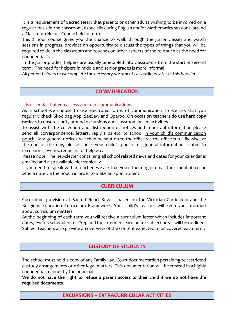It is a requirement of Sacred Heart that parents or other adults wishing to be involved on a regular basis in the classroom, especially during English and/or Mathematics sessions, attend a Classroom Helper Course held in term 1.

This 2 hour course gives you the chance to walk through the junior classes and watch sessions in progress, provides an opportunity to discuss the types of things that you will be required to do in the classroom and touches on other aspects of the role such as the need for confidentiality.

In the junior grades, helpers are usually timetabled into classrooms from the start of second term. The need for helpers in middle and senior grades is more informal.

*All parent helpers must complete the necessary documents as outlined later in this booklet.*

#### **COMMUNICATION**

It is essential that you access and read communications.

As a school we choose to use electronic forms of communication so we ask that you regularly check Skoolbag App, SeeSaw and Operoo. **On occasion teachers do use hard copy notices** to ensure clarity around excursions and classroom based activities.

To assist with the collection and distribution of notices and important information please send all correspondence, letters, reply slips etc. to school in your child's communication pouch. Any general notices will then be sent on to the office via the office tub. Likewise, at the end of the day, please check your child's pouch for general information related to excursions, events, requests for help etc.

Please note: The newsletter containing all school related news and dates for your calendar is emailed and also available electronically.

If you need to speak with a teacher, we ask that you either ring or email the school office, or send a note via the pouch in order to make an appointment.

#### **CURRICULUM**

Curriculum provision at Sacred Heart Kew is based on the Victorian Curriculum and the Religious Education Curriculum Framework. Your child's teacher will keep you informed about curriculum matters.

At the beginning of each term you will receive a curriculum letter which includes important dates, events scheduled for Prep and the intended learning for subject areas will be outlined. Subject teachers also provide an overview of the content expected to be covered each term.

#### **CUSTODY OF STUDENTS**

The school must hold a copy of any Family Law Court documentation pertaining to restricted custody arrangements or other legal matters. This documentation will be treated in a highly confidential manner by the principal.

We do not have the right to refuse a parent access to their child if we do not have the **required documents.**

**EXCURSIONS – EXTRACURRICULAR ACTIVITIES**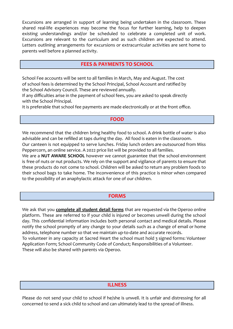Excursions are arranged in support of learning being undertaken in the classroom. These shared real-life experiences may become the focus for further learning, help to deepen existing understandings and/or be scheduled to celebrate a completed unit of work. Excursions are relevant to the curriculum and as such children are expected to attend. Letters outlining arrangements for excursions or extracurricular activities are sent home to parents well before a planned activity.

#### **FEES & PAYMENTS TO SCHOOL**

School Fee accounts will be sent to all families in March, May and August. The cost of school fees is determined by the School Principal, School Account and ratified by the School Advisory Council. These are reviewed annually.

If any difficulties arise in the payment of school fees, you are asked to speak directly with the School Principal.

It is preferable that school fee payments are made electronically or at the front office.

#### **FOOD**

We recommend that the children bring healthy food to school. A drink bottle of water is also advisable and can be refilled at taps during the day. All food is eaten in the classroom. Our canteen is not equipped to serve lunches. Friday lunch orders are outsourced from Miss Peppercorn, an online service. A 2022 price list will be provided to all families.

We are a **NUT AWARE SCHOOL** however we cannot guarantee that the school environment is free of nuts or nut products. We rely on the support and vigilance of parents to ensure that these products do not come to school. Children will be asked to return any problem foods to their school bags to take home. The inconvenience of this practice is minor when compared to the possibility of an anaphylactic attack for one of our children.

#### **FORMS**

We ask that you **complete all student detail forms** that are requested via the Operoo online platform. These are referred to if your child is injured or becomes unwell during the school day. This confidential information includes both personal contact and medical details. Please notify the school promptly of any change to your details such as a change of email or home address, telephone number so that we maintain up-to-date and accurate records. To volunteer in any capacity at Sacred Heart the school must hold 3 signed forms: Volunteer Application Form; School Community Code of Conduct; Responsibilities of a Volunteer. These will also be shared with parents via Operoo.

#### **ILLNESS**

Please do not send your child to school if he/she is unwell. It is unfair and distressing for all concerned to send a sick child to school and can ultimately lead to the spread of illness.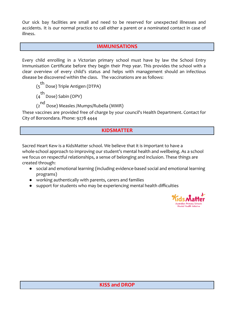Our sick bay facilities are small and need to be reserved for unexpected illnesses and accidents. It is our normal practice to call either a parent or a nominated contact in case of illness.

#### **IMMUNISATIONS**

Every child enrolling in a Victorian primary school must have by law the School Entry Immunisation Certificate before they begin their Prep year. This provides the school with a clear overview of every child's status and helps with management should an infectious disease be discovered within the class. The vaccinations are as follows:

(5<sup>th</sup> Dose) Triple Antigen (DTPA)

 $\begin{pmatrix} th \\ 4 \end{pmatrix}$  Dose) Sabin (OPV)

(2<sup>nd</sup> Dose) Measles /Mumps/Rubella (MMR)

These vaccines are provided free of charge by your council's Health Department. Contact for City of Boroondara. Phone: 9278 4444

#### **KIDSMATTER**

Sacred Heart Kew is a KidsMatter school. We believe that it is important to have a whole-school approach to improving our student's mental health and wellbeing. As a school we focus on respectful relationships, a sense of belonging and inclusion. These things are created through:

- social and emotional learning (including evidence-based social and emotional learning programs)
- working authentically with parents, carers and families
- support for students who may be experiencing mental health difficulties

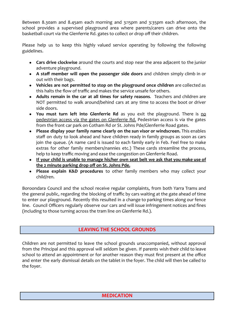Between 8.30am and 8.45am each morning and 3:15pm and 3:35pm each afternoon, the school provides a supervised playground area where parents/carers can drive onto the basketball court via the Glenferrie Rd. gates to collect or drop off their children.

Please help us to keep this highly valued service operating by following the following guidelines.

- **Cars drive clockwise** around the courts and stop near the area adjacent to the junior adventure playground.
- **A staff member will open the passenger side doors** and children simply climb in or out with their bags.
- **Vehicles are not permitted to stop on the playground once children** are collected as this halts the flow of traffic and makes the service unsafe for others.
- **Adults remain in the car at all times for safety reasons**. Teachers and children are NOT permitted to walk around/behind cars at any time to access the boot or driver side doors.
- **You must turn left into Glenferrie Rd** as you exit the playground. There is no pedestrian access via the gates on Glenferrie Rd. Pedestrian access is via the gates from the front car park on Cotham Rd or St. Johns Pde/Glenferrie Road gates.
- **Please display your family name clearly on the sun visor or windscreen.** This enables staff on duty to look ahead and have children ready in family groups as soon as cars join the queue. (A name card is issued to each family early in Feb. Feel free to make extras for other family members/nannies etc.) These cards streamline the process, help to keep traffic moving and ease the congestion on Glenferrie Road.
- **If your child is unable to manage his/her own seat belt we ask that you make use of the 2 minute parking drop off on St. Johns Pde.**
- **Please explain K&D procedures** to other family members who may collect your child/ren.

Boroondara Council and the school receive regular complaints, from both Yarra Trams and the general public, regarding the blocking of traffic by cars waiting at the gate ahead of time to enter our playground. Recently this resulted in a change to parking times along our fence line. Council Officers regularly observe our cars and will issue infringement notices and fines (including to those turning across the tram line on Glenferrie Rd.).

#### **LEAVING THE SCHOOL GROUNDS**

Children are not permitted to leave the school grounds unaccompanied, without approval from the Principal and this approval will seldom be given. If parents wish their child to leave school to attend an appointment or for another reason they must first present at the office and enter the early dismissal details on the tablet in the foyer. The child will then be called to the foyer.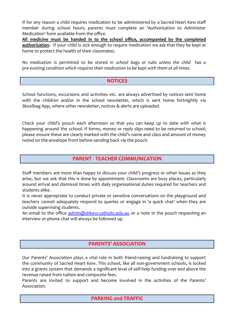If for any reason a child requires medication to be administered by a Sacred Heart Kew staff member during school hours, parents must complete an 'Authorisation to Administer Medication' form available from the office.

**All medicine must be handed in to the school office, accompanied by the completed authorisation.** If your child is sick enough to require medication we ask that they be kept at home to protect the health of their classmates.

*No medication is permitted to be stored in school bags or tubs unless the child has a pre-existing condition which requires their medication to be kept with them at all times.*

#### **NOTICES**

School functions, excursions and activities etc. are always advertised by notices sent home with the children and/or in the school newsletter, which is sent home fortnightly via Skoolbag App, where other newsletter, notices & alerts are uploaded.

Check your child's pouch each afternoon so that you can keep up to date with what is happening around the school. If forms, money or reply slips need to be returned to school, please ensure these are clearly marked with the child's name and class and amount of money noted on the envelope front before sending back via the pouch.

#### **PARENT - TEACHER COMMUNICATION**

Staff members are more than happy to discuss your child's progress or other issues as they arise, but we ask that this is done by appointment. Classrooms are busy places, particularly around arrival and dismissal times with daily organisational duties required for teachers and students alike.

It is never appropriate to conduct private or sensitive conversations on the playground and teachers cannot adequately respond to queries or engage in 'a quick chat' when they are outside supervising students.

An email to the office [admin@shkew.catholic.edu.au](mailto:admin@shkew.catholic.edu.au) or a note in the pouch requesting an interview or phone chat will always be followed up.

#### **PARENTS' ASSOCIATION**

Our Parents' Association plays a vital role in both friend-raising and fundraising to support the community of Sacred Heart Kew. This school, like all non-government schools, is locked into a grants system that demands a significant level of self-help funding over and above the revenue raised from tuition and composite fees.

Parents are invited to support and become involved in the activities of the Parents' Association.

#### **PARKING and TRAFFIC**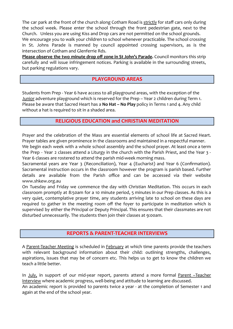The car park at the front of the church along Cotham Road is strictly for staff cars only during the school week. Please enter the school through the front pedestrian gate, next to the Church. Unless you are using Kiss and Drop cars are not permitted on the school grounds. We encourage you to walk your children to school whenever practicable. The school crossing in St. Johns Parade is manned by council appointed crossing supervisors, as is the intersection of Cotham and Glenferrie Rds.

**Please observe the two minute drop off zone in St John's Parade.** Council monitors this strip carefully and will issue infringement notices. Parking is available in the surrounding streets, but parking regulations vary.

#### **PLAYGROUND AREAS**

Students from Prep - Year 6 have access to all playground areas, with the exception of the Junior adventure playground which is reserved for the Prep – Year 2 children during Term 1. Please be aware that Sacred Heart has a **No Hat – No Play** policy in Terms 1 and 4. Any child without a hat is required to sit in a shaded area.

#### **RELIGIOUS EDUCATION and CHRISTIAN MEDITATION**

Prayer and the celebration of the Mass are essential elements of school life at Sacred Heart. Prayer tables are given prominence in the classrooms and maintained in a respectful manner.

We begin each week with a whole school assembly and the school prayer. At least once a term the Prep - Year 2 classes attend a Liturgy in the church with the Parish Priest, and the Year 3 - Year 6 classes are rostered to attend the parish mid-week morning mass.

Sacramental years are Year 3 (Reconciliation), Year 4 (Eucharist) and Year 6 (Confirmation). Sacramental instruction occurs in the classroom however the program is parish based. Further details are available from the Parish office and can be accessed via their website www.shkew.org.au

On Tuesday and Friday we commence the day with Christian Meditation. This occurs in each classroom promptly at 8:50am for a 10 minute period, 5 minutes in our Prep classes. As this is a very quiet, contemplative prayer time, any students arriving late to school on these days are required to gather in the meeting room off the foyer to participate in meditation which is supervised by either the Principal or Deputy Principal. This ensures that their classmates are not disturbed unnecessarily. The students then join their classes at 9:00am.

#### **REPORTS & PARENT-TEACHER INTERVIEWS**

A Parent-Teacher Meeting is scheduled in February at which time parents provide the teachers with relevant background information about their child: outlining strengths, challenges, aspirations, issues that may be of concern etc. This helps us to get to know the children we teach a little better.

In July, in support of our mid-year report, parents attend a more formal Parent -Teacher Interview where academic progress, well-being and attitude to learning are discussed. An academic report is provided to parents twice a year - at the completion of Semester 1 and again at the end of the school year.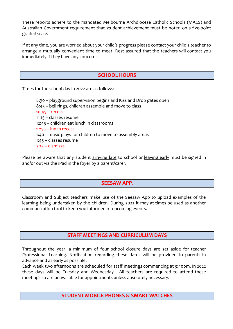These reports adhere to the mandated Melbourne Archdiocese Catholic Schools (MACS) and Australian Government requirement that student achievement must be noted on a five-point graded scale.

If at any time, you are worried about your child's progress please contact your child's teacher to arrange a mutually convenient time to meet. Rest assured that the teachers will contact you immediately if they have any concerns.

#### **SCHOOL HOURS**

Times for the school day in 2022 are as follows:

8:30 – playground supervision begins and Kiss and Drop gates open 8:45 – bell rings, children assemble and move to class 10:45 – recess 11:15 – classes resume 12:45 – children eat lunch in classrooms 12:55 – lunch recess 1:40 – music plays for children to move to assembly areas 1:45 – classes resume 3:15 – dismissal

Please be aware that any student arriving late to school or leaving early must be signed in and/or out via the iPad in the foyer by a parent/carer.

#### **SEESAW APP.**

Classroom and Subject teachers make use of the Seesaw App to upload examples of the learning being undertaken by the children. During 2022 it may at times be used as another communication tool to keep you informed of upcoming events.

#### **STAFF MEETINGS AND CURRICULUM DAYS**

Throughout the year, a minimum of four school closure days are set aside for teacher Professional Learning. Notification regarding these dates will be provided to parents in advance and as early as possible.

Each week two afternoons are scheduled for staff meetings commencing at 3:40pm. In 2022 these days will be Tuesday and Wednesday. All teachers are required to attend these meetings so are unavailable for appointments unless absolutely necessary.

#### **STUDENT MOBILE PHONES & SMART WATCHES**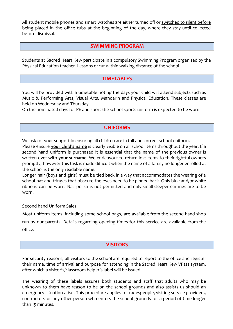All student mobile phones and smart watches are either turned off or switched to silent before being placed in the office tubs at the beginning of the day, where they stay until collected before dismissal.

#### **SWIMMING PROGRAM**

Students at Sacred Heart Kew participate in a compulsory Swimming Program organised by the Physical Education teacher. Lessons occur within walking distance of the school.

#### **TIMETABLES**

You will be provided with a timetable noting the days your child will attend subjects such as Music & Performing Arts, Visual Arts, Mandarin and Physical Education. These classes are held on Wednesday and Thursday.

On the nominated days for PE and sport the school sports uniform is expected to be worn.

#### **UNIFORMS**

We ask for your support in ensuring all children are in full and correct school uniform.

Please ensure **your child's name** is clearly visible on all school items throughout the year. If a second hand uniform is purchased it is essential that the name of the previous owner is written over with **your surname**. We endeavour to return lost items to their rightful owners promptly, however this task is made difficult when the name of a family no longer enrolled at the school is the only readable name.

Longer hair (boys and girls) must be tied back in a way that accommodates the wearing of a school hat and fringes that obscure the eyes need to be pinned back. Only blue and/or white ribbons can be worn. Nail polish is not permitted and only small sleeper earrings are to be worn.

#### Second hand Uniform Sales

Most uniform items, including some school bags, are available from the second hand shop run by our parents. Details regarding opening times for this service are available from the office.

#### **VISITORS**

For security reasons, all visitors to the school are required to report to the office and register their name, time of arrival and purpose for attending in the Sacred Heart Kew VPass system, after which a visitor's/classroom helper's label will be issued.

The wearing of these labels assures both students and staff that adults who may be unknown to them have reason to be on the school grounds and also assists us should an emergency situation arise. This procedure applies to tradespeople, visiting service providers, contractors or any other person who enters the school grounds for a period of time longer than 15 minutes.